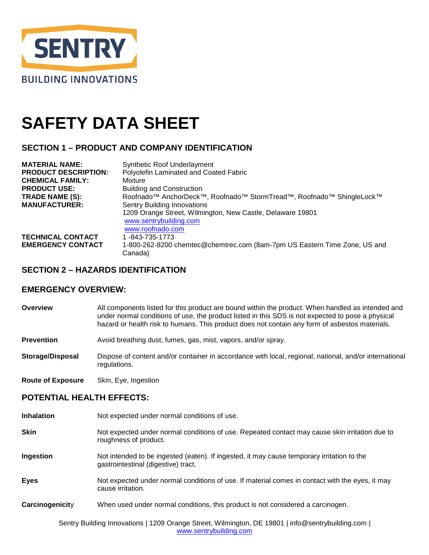

# **SAFETY DATA SHEET**

# **SECTION 1 – PRODUCT AND COMPANY IDENTIFICATION**

| <b>MATERIAL NAME:</b>       | <b>Synthetic Roof Underlayment</b>                                                                                     |
|-----------------------------|------------------------------------------------------------------------------------------------------------------------|
| <b>PRODUCT DESCRIPTION:</b> | Polyolefin Laminated and Coated Fabric                                                                                 |
| <b>CHEMICAL FAMILY:</b>     | Mixture                                                                                                                |
| <b>PRODUCT USE:</b>         | <b>Building and Construction</b>                                                                                       |
| TRADE NAME (S):             | Roofnado <sup>™</sup> AnchorDeck <sup>™</sup> , Roofnado <sup>™</sup> StormTread <sup>™</sup> , Roofnado™ ShingleLock™ |
| <b>MANUFACTURER:</b>        | <b>Sentry Building Innovations</b>                                                                                     |
|                             | 1209 Orange Street, Wilmington, New Castle, Delaware 19801                                                             |
|                             | www.sentrybuilding.com                                                                                                 |
|                             | www.roofnado.com                                                                                                       |
| <b>TECHNICAL CONTACT</b>    | 1-843-735-1773                                                                                                         |
| <b>EMERGENCY CONTACT</b>    | 1-800-262-8200 chemtec@chemtrec.com (8am-7pm US Eastern Time Zone, US and                                              |
|                             | Canada)                                                                                                                |

#### **SECTION 2 – HAZARDS IDENTIFICATION**

#### **EMERGENCY OVERVIEW:**

- **Overview** All components listed for this product are bound within the product. When handled as intended and under normal conditions of use, the product listed in this SDS is not expected to pose a physical hazard or health risk to humans. This product does not contain any form of asbestos materials.
- **Prevention** Avoid breathing dust, fumes, gas, mist, vapors, and/or spray.
- **Storage/Disposal** Dispose of content and/or container in accordance with local, regional, national, and/or international regulations.
- **Route of Exposure** Skin, Eye, Ingestion

#### **POTENTIAL HEALTH EFFECTS:**

| <b>Inhalation</b> | Not expected under normal conditions of use.                                                                                      |
|-------------------|-----------------------------------------------------------------------------------------------------------------------------------|
| <b>Skin</b>       | Not expected under normal conditions of use. Repeated contact may cause skin irritation due to<br>roughness of product.           |
| Ingestion         | Not intended to be ingested (eaten). If ingested, it may cause temporary irritation to the<br>gastrointestinal (digestive) tract. |
| <b>Eyes</b>       | Not expected under normal conditions of use. If material comes in contact with the eyes, it may<br>cause irritation.              |
| Carcinogenicity   | When used under normal conditions, this product is not considered a carcinogen.                                                   |

Sentry Building Innovations | 1209 Orange Street, Wilmington, DE 19801 | info@sentrybuilding.com | [www.sentrybuilding.com](http://www.sentrybuilding.com/)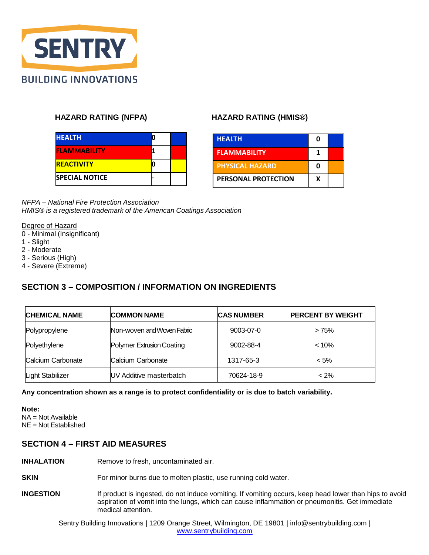

| <b>HEALTH</b>         |  |
|-----------------------|--|
| <b>FLAMMABILITY</b>   |  |
| <b>REACTIVITY</b>     |  |
| <b>SPECIAL NOTICE</b> |  |

## **HAZARD RATING (NFPA) HAZARD RATING (HMIS®)**

| <b>HEALTH</b>          | ŋ |  |
|------------------------|---|--|
| <b>FLAMMABILITY</b>    | 1 |  |
| <b>PHYSICAL HAZARD</b> | n |  |
| PERSONAL PROTECTION    | x |  |

*NFPA – National Fire Protection Association HMIS® is a registered trademark of the American Coatings Association*

Degree of Hazard

- 0 Minimal (Insignificant)
- 1 Slight
- 2 Moderate
- 3 Serious (High)
- 4 Severe (Extreme)

# **SECTION 3 – COMPOSITION / INFORMATION ON INGREDIENTS**

| <b>CHEMICAL NAME</b> | <b>COMMON NAME</b>              | <b>CAS NUMBER</b> | <b>PERCENT BY WEIGHT</b> |
|----------------------|---------------------------------|-------------------|--------------------------|
| Polypropylene        | Non-woven and Woven Fabric      | 9003-07-0         | >75%                     |
| Polyethylene         | Polymer Extrusion Coating       | 9002-88-4         | $< 10\%$                 |
| Calcium Carbonate    | Calcium Carbonate               | 1317-65-3         | $< 5\%$                  |
| Light Stabilizer     | <b>IUV Additive masterbatch</b> | 70624-18-9        | $< 2\%$                  |

**Any concentration shown as a range is to protect confidentiality or is due to batch variability.** 

**Note:** NA = Not Available NE = Not Established

# **SECTION 4 – FIRST AID MEASURES**

**INHALATION** Remove to fresh, uncontaminated air.

**SKIN** For minor burns due to molten plastic, use running cold water.

**INGESTION** If product is ingested, do not induce vomiting. If vomiting occurs, keep head lower than hips to avoid aspiration of vomit into the lungs, which can cause inflammation or pneumonitis. Get immediate medical attention.

Sentry Building Innovations | 1209 Orange Street, Wilmington, DE 19801 | info@sentrybuilding.com | [www.sentrybuilding.com](http://www.sentrybuilding.com/)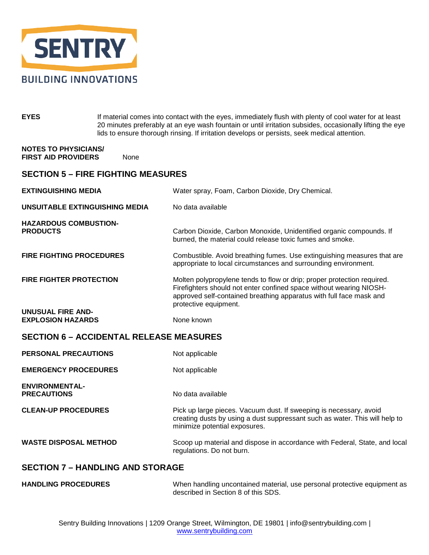

**EYES** If material comes into contact with the eyes, immediately flush with plenty of cool water for at least 20 minutes preferably at an eye wash fountain or until irritation subsides, occasionally lifting the eye lids to ensure thorough rinsing. If irritation develops or persists, seek medical attention.

**NOTES TO PHYSICIANS/ FIRST AID PROVIDERS** None

### **SECTION 5 – FIRE FIGHTING MEASURES**

| <b>EXTINGUISHING MEDIA</b>                           | Water spray, Foam, Carbon Dioxide, Dry Chemical.                                                                                                                                                                                               |
|------------------------------------------------------|------------------------------------------------------------------------------------------------------------------------------------------------------------------------------------------------------------------------------------------------|
| UNSUITABLE EXTINGUISHING MEDIA                       | No data available                                                                                                                                                                                                                              |
| <b>HAZARDOUS COMBUSTION-</b><br><b>PRODUCTS</b>      | Carbon Dioxide, Carbon Monoxide, Unidentified organic compounds. If<br>burned, the material could release toxic fumes and smoke.                                                                                                               |
| <b>FIRE FIGHTING PROCEDURES</b>                      | Combustible. Avoid breathing fumes. Use extinguishing measures that are<br>appropriate to local circumstances and surrounding environment.                                                                                                     |
| <b>FIRE FIGHTER PROTECTION</b>                       | Molten polypropylene tends to flow or drip; proper protection required.<br>Firefighters should not enter confined space without wearing NIOSH-<br>approved self-contained breathing apparatus with full face mask and<br>protective equipment. |
| <b>UNUSUAL FIRE AND-</b><br><b>EXPLOSION HAZARDS</b> | None known                                                                                                                                                                                                                                     |
| <b>SECTION 6 - ACCIDENTAL RELEASE MEASURES</b>       |                                                                                                                                                                                                                                                |
| <b>PERSONAL PRECAUTIONS</b>                          | Not applicable                                                                                                                                                                                                                                 |
| <b>EMERGENCY PROCEDURES</b>                          | Not applicable                                                                                                                                                                                                                                 |
| <b>ENVIRONMENTAL-</b><br><b>PRECAUTIONS</b>          | No data available                                                                                                                                                                                                                              |
| <b>CLEAN-UP PROCEDURES</b>                           | Pick up large pieces. Vacuum dust. If sweeping is necessary, avoid<br>creating dusts by using a dust suppressant such as water. This will help to<br>minimize potential exposures.                                                             |
| <b>WASTE DISPOSAL METHOD</b>                         | Scoop up material and dispose in accordance with Federal, State, and local<br>regulations. Do not burn.                                                                                                                                        |
| <b>SECTION 7 - HANDLING AND STORAGE</b>              |                                                                                                                                                                                                                                                |

**HANDLING PROCEDURES** When handling uncontained material, use personal protective equipment as described in Section 8 of this SDS.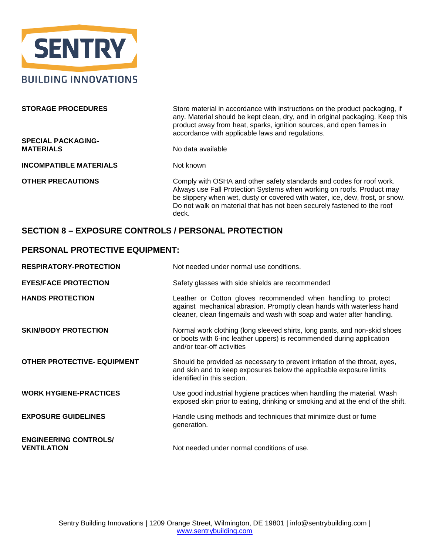

| <b>STORAGE PROCEDURES</b>     | Store material in accordance with instructions on the product packaging, if<br>any. Material should be kept clean, dry, and in original packaging. Keep this<br>product away from heat, sparks, ignition sources, and open flames in<br>accordance with applicable laws and regulations.                          |
|-------------------------------|-------------------------------------------------------------------------------------------------------------------------------------------------------------------------------------------------------------------------------------------------------------------------------------------------------------------|
| <b>SPECIAL PACKAGING-</b>     |                                                                                                                                                                                                                                                                                                                   |
| <b>MATERIALS</b>              | No data available                                                                                                                                                                                                                                                                                                 |
| <b>INCOMPATIBLE MATERIALS</b> | Not known                                                                                                                                                                                                                                                                                                         |
| <b>OTHER PRECAUTIONS</b>      | Comply with OSHA and other safety standards and codes for roof work.<br>Always use Fall Protection Systems when working on roofs. Product may<br>be slippery when wet, dusty or covered with water, ice, dew, frost, or snow.<br>Do not walk on material that has not been securely fastened to the roof<br>deck. |

### **SECTION 8 – EXPOSURE CONTROLS / PERSONAL PROTECTION**

### **PERSONAL PROTECTIVE EQUIPMENT:**

| <b>RESPIRATORY-PROTECTION</b>                      | Not needed under normal use conditions.                                                                                                                                                                           |
|----------------------------------------------------|-------------------------------------------------------------------------------------------------------------------------------------------------------------------------------------------------------------------|
| <b>EYES/FACE PROTECTION</b>                        | Safety glasses with side shields are recommended                                                                                                                                                                  |
| <b>HANDS PROTECTION</b>                            | Leather or Cotton gloves recommended when handling to protect<br>against mechanical abrasion. Promptly clean hands with waterless hand<br>cleaner, clean fingernails and wash with soap and water after handling. |
| <b>SKIN/BODY PROTECTION</b>                        | Normal work clothing (long sleeved shirts, long pants, and non-skid shoes<br>or boots with 6-inc leather uppers) is recommended during application<br>and/or tear-off activities                                  |
| <b>OTHER PROTECTIVE- EQUIPMENT</b>                 | Should be provided as necessary to prevent irritation of the throat, eyes,<br>and skin and to keep exposures below the applicable exposure limits<br>identified in this section.                                  |
| <b>WORK HYGIENE-PRACTICES</b>                      | Use good industrial hygiene practices when handling the material. Wash<br>exposed skin prior to eating, drinking or smoking and at the end of the shift.                                                          |
| <b>EXPOSURE GUIDELINES</b>                         | Handle using methods and techniques that minimize dust or fume<br>generation.                                                                                                                                     |
| <b>ENGINEERING CONTROLS/</b><br><b>VENTILATION</b> | Not needed under normal conditions of use.                                                                                                                                                                        |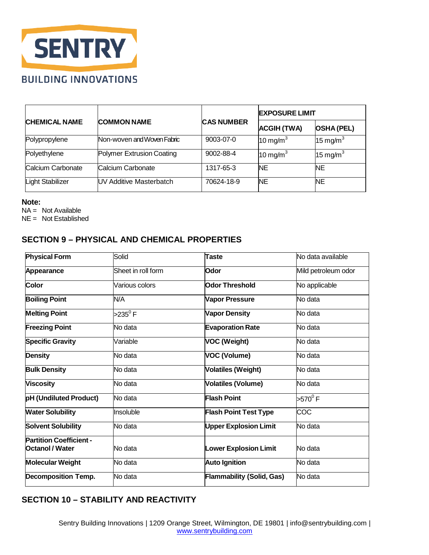

| <b>CHEMICAL NAME</b> | <b>COMMON NAME</b>              |                   | <b>EXPOSURE LIMIT</b> |                      |
|----------------------|---------------------------------|-------------------|-----------------------|----------------------|
|                      |                                 | <b>CAS NUMBER</b> | <b>ACGIH (TWA)</b>    | <b>OSHA (PEL)</b>    |
| Polypropylene        | Non-woven and Woven Fabric      | 9003-07-0         | 10 mg/m $3$           | 15 mg/m $3$          |
| Polyethylene         | Polymer Extrusion Coating       | $9002 - 88 - 4$   | $10 \text{ mg/m}^3$   | 15 mg/m <sup>3</sup> |
| Calcium Carbonate    | Calcium Carbonate               | 1317-65-3         | <b>NE</b>             | <b>NE</b>            |
| Light Stabilizer     | <b>IUV Additive Masterbatch</b> | 70624-18-9        | <b>NE</b>             | <b>NE</b>            |

**Note:**

NA = Not Available

NE = Not Established

# **SECTION 9 – PHYSICAL AND CHEMICAL PROPERTIES**

| <b>Physical Form</b>                                    | Solid                | <b>Taste</b>                     | No data available   |
|---------------------------------------------------------|----------------------|----------------------------------|---------------------|
| Appearance                                              | Sheet in roll form   | Odor                             | Mild petroleum odor |
| <b>Color</b>                                            | Various colors       | <b>Odor Threshold</b>            | No applicable       |
| <b>Boiling Point</b>                                    | N/A                  | <b>Vapor Pressure</b>            | No data             |
| <b>Melting Point</b>                                    | $>$ 235 $^{\circ}$ F | <b>Vapor Density</b>             | No data             |
| <b>Freezing Point</b>                                   | No data              | <b>Evaporation Rate</b>          | No data             |
| <b>Specific Gravity</b>                                 | Variable             | <b>VOC (Weight)</b>              | No data             |
| <b>Density</b>                                          | No data              | VOC (Volume)                     | No data             |
| <b>Bulk Density</b>                                     | No data              | <b>Volatiles (Weight)</b>        | No data             |
| <b>Viscosity</b>                                        | No data              | <b>Volatiles (Volume)</b>        | No data             |
| pH (Undiluted Product)                                  | No data              | <b>Flash Point</b>               | $>570^0$ F          |
| <b>Water Solubility</b>                                 | Insoluble            | <b>Flash Point Test Type</b>     | COC                 |
| <b>Solvent Solubility</b>                               | No data              | <b>Upper Explosion Limit</b>     | No data             |
| <b>Partition Coefficient-</b><br><b>Octanol / Water</b> | No data              | <b>Lower Explosion Limit</b>     | No data             |
| <b>Molecular Weight</b>                                 | No data              | <b>Auto Ignition</b>             | No data             |
| <b>Decomposition Temp.</b>                              | No data              | <b>Flammability (Solid, Gas)</b> | No data             |

# **SECTION 10 – STABILITY AND REACTIVITY**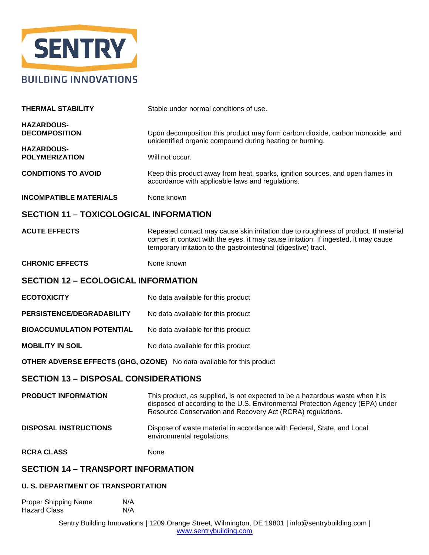

| <b>THERMAL STABILITY</b>                                                                                              | Stable under normal conditions of use.                                                                                                                                                                                                         |
|-----------------------------------------------------------------------------------------------------------------------|------------------------------------------------------------------------------------------------------------------------------------------------------------------------------------------------------------------------------------------------|
| <b>HAZARDOUS-</b><br><b>DECOMPOSITION</b><br><b>HAZARDOUS-</b><br><b>POLYMERIZATION</b><br><b>CONDITIONS TO AVOID</b> | Upon decomposition this product may form carbon dioxide, carbon monoxide, and<br>unidentified organic compound during heating or burning.<br>Will not occur.<br>Keep this product away from heat, sparks, ignition sources, and open flames in |
| <b>INCOMPATIBLE MATERIALS</b>                                                                                         | accordance with applicable laws and regulations.<br>None known                                                                                                                                                                                 |
| <b>SECTION 11 - TOXICOLOGICAL INFORMATION</b>                                                                         |                                                                                                                                                                                                                                                |
| <b>ACUTE EFFECTS</b>                                                                                                  | Repeated contact may cause skin irritation due to roughness of product. If material<br>comes in contact with the eyes, it may cause irritation. If ingested, it may cause<br>temporary irritation to the gastrointestinal (digestive) tract.   |
| <b>CHRONIC EFFECTS</b>                                                                                                | None known                                                                                                                                                                                                                                     |
| <b>SECTION 12 - ECOLOGICAL INFORMATION</b>                                                                            |                                                                                                                                                                                                                                                |
| <b>ECOTOXICITY</b>                                                                                                    | No data available for this product                                                                                                                                                                                                             |

- **PERSISTENCE/DEGRADABILITY** No data available for this product
- **BIOACCUMULATION POTENTIAL** No data available for this product
- **MOBILITY IN SOIL** No data available for this product

**OTHER ADVERSE EFFECTS (GHG, OZONE)** No data available for this product

### **SECTION 13 – DISPOSAL CONSIDERATIONS**

| <b>PRODUCT INFORMATION</b>   | This product, as supplied, is not expected to be a hazardous waste when it is<br>disposed of according to the U.S. Environmental Protection Agency (EPA) under<br>Resource Conservation and Recovery Act (RCRA) regulations. |
|------------------------------|------------------------------------------------------------------------------------------------------------------------------------------------------------------------------------------------------------------------------|
| <b>DISPOSAL INSTRUCTIONS</b> | Dispose of waste material in accordance with Federal, State, and Local<br>environmental regulations.                                                                                                                         |
| <b>RCRA CLASS</b>            | None                                                                                                                                                                                                                         |

#### **SECTION 14 – TRANSPORT INFORMATION**

#### **U. S. DEPARTMENT OF TRANSPORTATION**

| Proper Shipping Name | N/A |
|----------------------|-----|
| Hazard Class         | N/A |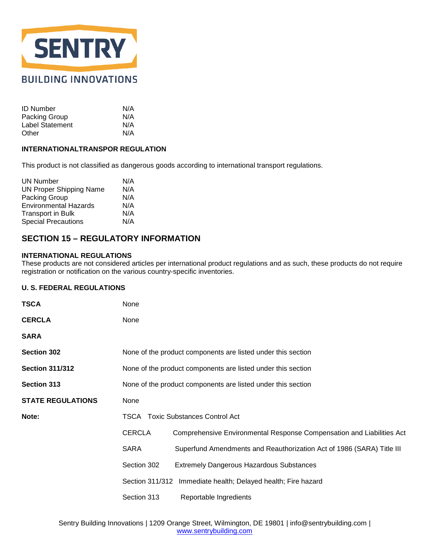

| <b>ID Number</b> | N/A |
|------------------|-----|
| Packing Group    | N/A |
| Label Statement  | N/A |
| Other            | N/A |

#### **INTERNATIONALTRANSPOR REGULATION**

This product is not classified as dangerous goods according to international transport regulations.

| <b>UN Number</b>               | N/A |
|--------------------------------|-----|
| <b>UN Proper Shipping Name</b> | N/A |
| Packing Group                  | N/A |
| <b>Environmental Hazards</b>   | N/A |
| <b>Transport in Bulk</b>       | N/A |
| <b>Special Precautions</b>     | N/A |

# **SECTION 15 – REGULATORY INFORMATION**

#### **INTERNATIONAL REGULATIONS**

These products are not considered articles per international product regulations and as such, these products do not require registration or notification on the various country-specific inventories.

#### **U. S. FEDERAL REGULATIONS**

| <b>TSCA</b>              | None                                                         |                                                                       |  |
|--------------------------|--------------------------------------------------------------|-----------------------------------------------------------------------|--|
| <b>CERCLA</b>            | None                                                         |                                                                       |  |
| <b>SARA</b>              |                                                              |                                                                       |  |
| <b>Section 302</b>       | None of the product components are listed under this section |                                                                       |  |
| <b>Section 311/312</b>   | None of the product components are listed under this section |                                                                       |  |
| Section 313              | None of the product components are listed under this section |                                                                       |  |
| <b>STATE REGULATIONS</b> | None                                                         |                                                                       |  |
| Note:                    |                                                              | <b>TSCA</b> Toxic Substances Control Act                              |  |
|                          | <b>CERCLA</b>                                                | Comprehensive Environmental Response Compensation and Liabilities Act |  |
|                          | <b>SARA</b>                                                  | Superfund Amendments and Reauthorization Act of 1986 (SARA) Title III |  |
|                          | Section 302                                                  | <b>Extremely Dangerous Hazardous Substances</b>                       |  |
|                          |                                                              | Section 311/312 Immediate health; Delayed health; Fire hazard         |  |
|                          | Section 313                                                  | Reportable Ingredients                                                |  |